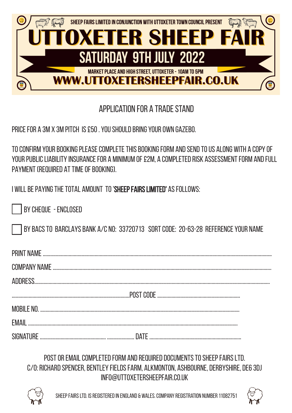

## Application for a trade stand

price for a 3m x 3m pitch is £50 . you should bring your own gazebo.

to confirm your booking please complete this booking form and send to us along with a copy of your public liability insurance for a minimum of £2m, a completed risk assessment form and full payment (required at time of booking).

I WILL BE PAYING THE TOTAL AMOUNT TO 'SHEEP FAIRS LIMITED' AS FOLLOWS:

By cheque - enclosed

By BACs to Barclays Bank A/c no: 33720713 Sort Code: 20-63-28 Reference your Name

| PRINT NAME.  |  |
|--------------|--|
|              |  |
|              |  |
|              |  |
|              |  |
| <b>FMAIL</b> |  |
|              |  |

## Postor email completed form and required documents to sheep fairs ltd. C/o: Richard Spencer, Bentley Fields Farm, Alkmonton, Ashbourne, Derbyshire, DE6 3DJ info@uttoxetersheepfair.co.uk



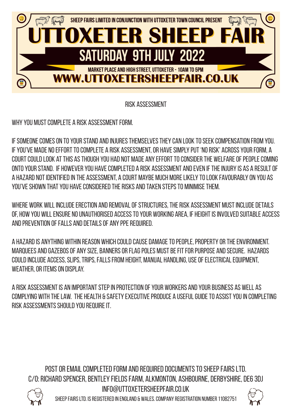

Risk Assessment

Why you must complete a risk assessment form.

If someone comes on to your stand and injures themselves they can look to seek compensation from you. If you've made no effort to complete a risk assessment, or have simply put 'NO RISK' across your form, a court could look at this as though you had not made any effort to consider the welfare of people coming onto your stand. If however you have completed a risk assessment and even if the injury is as a result of a hazard not identified in the assessment, a court maybe much more likely to look favourably on you as you've shown that you have considered the risks and taken steps to minimise them.

WHERE WORK WILL INCLUDE ERECTION AND REMOVAL OF STRUCTURES, THE RISK ASSESSMENT MUST INCLUDE DETAILS of, how you will ensure no unauthorised access to your working area, if height is involved suitable access and prevention of falls and details of any PPE required.

A hazard is anything within reason which could cause damage to people, property or the environment. MARQUEES AND GAZEROS OF ANY SIZE, BANNERS OR FLAG POLES MUST BE FIT FOR PURPOSE AND SECURE. HAZARDS could include access, slips, trips, falls from height, manual handling, use of electrical equipment, WEATHER, OR ITEMS ON DISPLAY.

A risk assessment is an important step in protection of your workers and your business as well as complying with the law. The Health & Safety Executive produce a useful guide to assist you in completing risk assessments should you require it.

Post or email completed form and required documents to sheep fairs ltd. C/o: Richard Spencer, Bentley Fields Farm, Alkmonton, Ashbourne, Derbyshire, DE6 3DJ info@uttoxetersheepfair.co.uk



Sheep fairs ltd. is registered in england & wales. company registration number 11082751

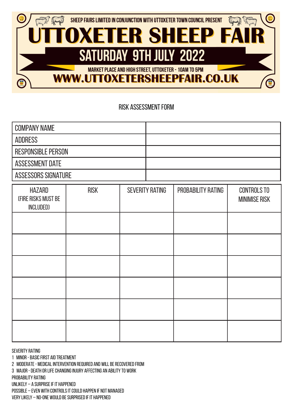

#### Risk Assessment Form

| I COMPANY NAME            |  |
|---------------------------|--|
| ADDRESS                   |  |
| <b>RESPONSIBLE PERSON</b> |  |
| <b>ASSESSMENT DATE</b>    |  |
| ASSESSORS SIGNATURE       |  |

| HAZARD<br>(FIRE RISKS MUST BE<br>INCLUDED) | <b>RISK</b> | <b>SEVERITY RATING</b> | PROBABILITY RATING | <b>CONTROLS TO</b><br><b>MINIMISE RISK</b> |
|--------------------------------------------|-------------|------------------------|--------------------|--------------------------------------------|
|                                            |             |                        |                    |                                            |
|                                            |             |                        |                    |                                            |
|                                            |             |                        |                    |                                            |
|                                            |             |                        |                    |                                            |
|                                            |             |                        |                    |                                            |
|                                            |             |                        |                    |                                            |

SEVERITY RATING

1 MINOR - Basic first aid treatment

2 MODERATE - Medical intervention required and will be recovered from

3 MAJOR - Death or life changing injury affecting an ability to work

PROBABILITY RATING

UNLIKELY – A surprise if it happened

POSSIBLE – Even with controls it could happen if not managed

VERY LIKELY – No-one would be surprised if it happened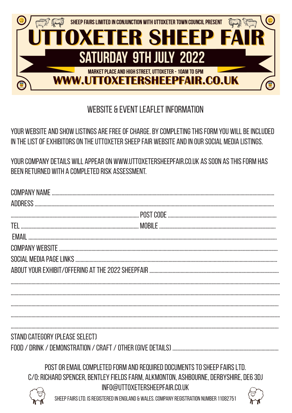

# WEBSITE & EVENT LEAFLET INFORMATION

YOUR WEBSITE AND SHOW LISTINGS ARE FREE OF CHARGE. BY COMPLETING THIS FORM YOU WILL BE INCLUDED IN THE LIST OF EXHIBITORS ON THE LITTOXETER SHEEP FAIR WEBSITE AND IN OUR SOCIAL MEDIA LISTINGS.

YOUR COMPANY DETAILS WILL APPEAR ON WWW.UTTOXETERSHEEPFAIR.CO.UK AS SOON AS THIS FORM HAS BEEN RETURNED WITH A COMPLETED RISK ASSESSMENT.

| STAND CATEGORY (PLEASE SELECT) |                                                                                 |
|--------------------------------|---------------------------------------------------------------------------------|
|                                |                                                                                 |
|                                | POST OR EMAIL COMPLETED FORM AND REQUIRED DOCUMENTS TO SHEEP FAIRS LTD.         |
|                                | C/O RICHARD SPENCER RENTLEV FIELDS FARM ALKMONTON ASHROLIRNE DERRYSHIRE DEG 3DL |

INFO@UTTOXFTFRSHFFPFAIR.CO.UK